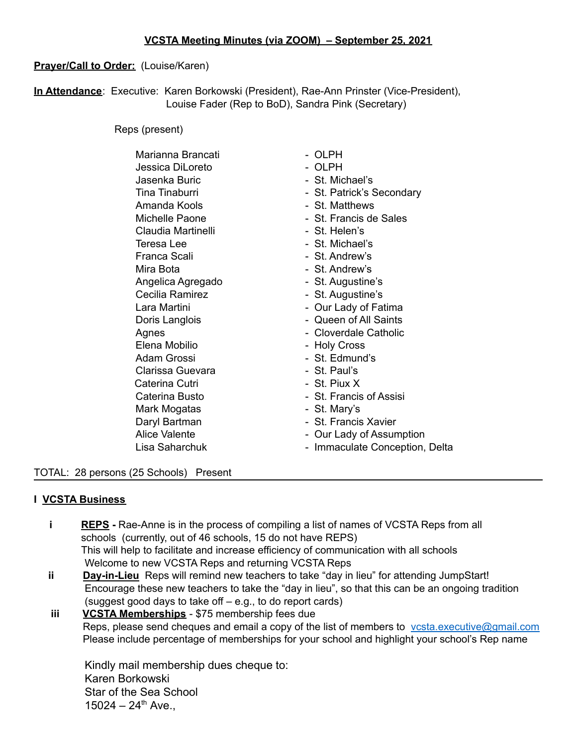#### **Prayer/Call to Order:** (Louise/Karen)

**In Attendance**: Executive: Karen Borkowski (President), Rae-Ann Prinster (Vice-President), Louise Fader (Rep to BoD), Sandra Pink (Secretary)

Reps (present)

| Marianna Brancati    | - OLPH                         |
|----------------------|--------------------------------|
| Jessica DiLoreto     | - OLPH                         |
| Jasenka Buric        | - St. Michael's                |
| Tina Tinaburri       | - St. Patrick's Secondary      |
| Amanda Kools         | - St. Matthews                 |
| Michelle Paone       | - St. Francis de Sales         |
| Claudia Martinelli   | - St. Helen's                  |
| Teresa Lee           | - St. Michael's                |
| Franca Scali         | - St. Andrew's                 |
| Mira Bota            | - St. Andrew's                 |
| Angelica Agregado    | - St. Augustine's              |
| Cecilia Ramirez      | - St. Augustine's              |
| Lara Martini         | - Our Lady of Fatima           |
| Doris Langlois       | - Queen of All Saints          |
| Agnes                | - Cloverdale Catholic          |
| Elena Mobilio        | - Holy Cross                   |
| Adam Grossi          | - St. Edmund's                 |
| Clarissa Guevara     | - St. Paul's                   |
| Caterina Cutri       | - St. Piux X                   |
| Caterina Busto       | - St. Francis of Assisi        |
| Mark Mogatas         | - St. Mary's                   |
| Daryl Bartman        | - St. Francis Xavier           |
| <b>Alice Valente</b> | - Our Lady of Assumption       |
| Lisa Saharchuk       | - Immaculate Conception, Delta |
|                      |                                |

#### TOTAL: 28 persons (25 Schools) Present

#### **I VCSTA Business**

- **i REPS** Rae-Anne is in the process of compiling a list of names of VCSTA Reps from all schools (currently, out of 46 schools, 15 do not have REPS) This will help to facilitate and increase efficiency of communication with all schools Welcome to new VCSTA Reps and returning VCSTA Reps
- **ii Day-in-Lieu** Reps will remind new teachers to take "day in lieu" for attending JumpStart! Encourage these new teachers to take the "day in lieu", so that this can be an ongoing tradition (suggest good days to take off – e.g., to do report cards)
- **iii VCSTA Memberships** \$75 membership fees due Reps, please send cheques and email a copy of the list of members to vesta.executive@gmail.com Please include percentage of memberships for your school and highlight your school's Rep name

Kindly mail membership dues cheque to: Karen Borkowski Star of the Sea School  $15024 - 24$ <sup>th</sup> Ave.,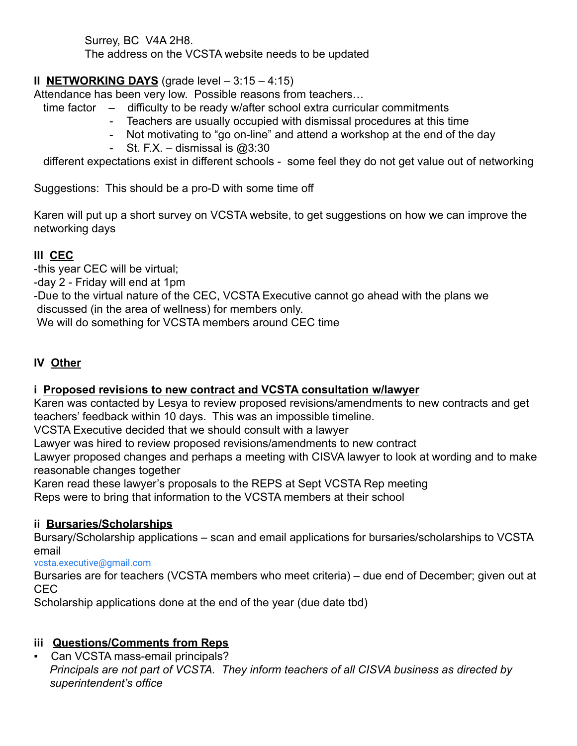Surrey, BC V4A 2H8. The address on the VCSTA website needs to be updated

### **II NETWORKING DAYS** (grade level – 3:15 – 4:15)

Attendance has been very low. Possible reasons from teachers…

- time factor difficulty to be ready w/after school extra curricular commitments
	- Teachers are usually occupied with dismissal procedures at this time
	- Not motivating to "go on-line" and attend a workshop at the end of the day
	- St. F.X. dismissal is  $@3:30$

different expectations exist in different schools - some feel they do not get value out of networking

Suggestions: This should be a pro-D with some time off

Karen will put up a short survey on VCSTA website, to get suggestions on how we can improve the networking days

# **III CEC**

-this year CEC will be virtual;

-day 2 - Friday will end at 1pm

-Due to the virtual nature of the CEC, VCSTA Executive cannot go ahead with the plans we discussed (in the area of wellness) for members only.

We will do something for VCSTA members around CEC time

## **IV Other**

### **i Proposed revisions to new contract and VCSTA consultation w/lawyer**

Karen was contacted by Lesya to review proposed revisions/amendments to new contracts and get teachers' feedback within 10 days. This was an impossible timeline.

VCSTA Executive decided that we should consult with a lawyer

Lawyer was hired to review proposed revisions/amendments to new contract

Lawyer proposed changes and perhaps a meeting with CISVA lawyer to look at wording and to make reasonable changes together

Karen read these lawyer's proposals to the REPS at Sept VCSTA Rep meeting Reps were to bring that information to the VCSTA members at their school

### **ii Bursaries/Scholarships**

Bursary/Scholarship applications – scan and email applications for bursaries/scholarships to VCSTA email

[vcsta.executive@gmail.com](mailto:vcsta.executive@gmail.com)

Bursaries are for teachers (VCSTA members who meet criteria) – due end of December; given out at CEC

Scholarship applications done at the end of the year (due date tbd)

### **iii Questions/Comments from Reps**

▪ Can VCSTA mass-email principals? *Principals are not part of VCSTA. They inform teachers of all CISVA business as directed by superintendent's office*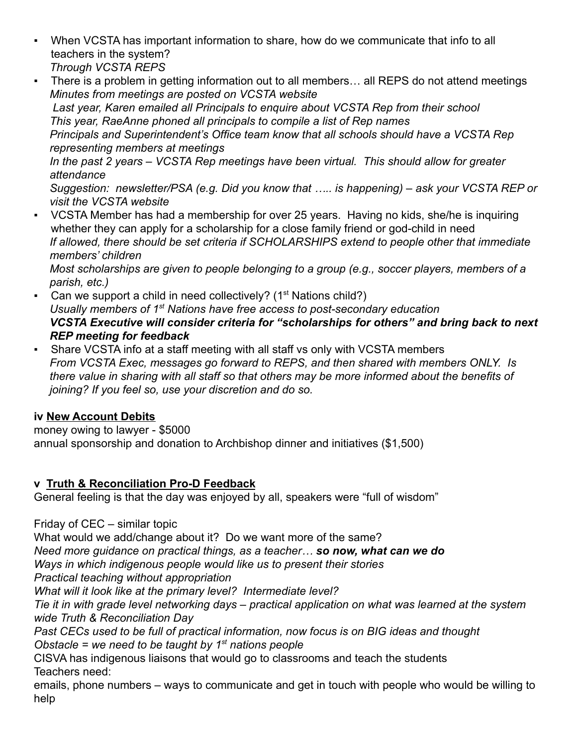- When VCSTA has important information to share, how do we communicate that info to all teachers in the system? *Through VCSTA REPS*
- There is a problem in getting information out to all members... all REPS do not attend meetings *Minutes from meetings are posted on VCSTA website*

*Last year, Karen emailed all Principals to enquire about VCSTA Rep from their school This year, RaeAnne phoned all principals to compile a list of Rep names*

*Principals and Superintendent's Office team know that all schools should have a VCSTA Rep representing members at meetings*

*In the past 2 years – VCSTA Rep meetings have been virtual. This should allow for greater attendance*

*Suggestion: newsletter/PSA (e.g. Did you know that ….. is happening) – ask your VCSTA REP or visit the VCSTA website*

*▪* VCSTA Member has had a membership for over 25 years. Having no kids, she/he is inquiring whether they can apply for a scholarship for a close family friend or god-child in need *If allowed, there should be set criteria if SCHOLARSHIPS extend to people other that immediate members' children*

*Most scholarships are given to people belonging to a group (e.g., soccer players, members of a parish, etc.)*

- **•** Can we support a child in need collectively?  $(1<sup>st</sup> Nations child?)$ *Usually members of 1st Nations have free access to post-secondary education VCSTA Executive will consider criteria for "scholarships for others" and bring back to next REP meeting for feedback*
- Share VCSTA info at a staff meeting with all staff vs only with VCSTA members *From VCSTA Exec, messages go forward to REPS, and then shared with members ONLY. Is there value in sharing with all staff so that others may be more informed about the benefits of joining? If you feel so, use your discretion and do so.*

### **iv New Account Debits**

money owing to lawyer - \$5000 annual sponsorship and donation to Archbishop dinner and initiatives (\$1,500)

### **v Truth & Reconciliation Pro-D Feedback**

General feeling is that the day was enjoyed by all, speakers were "full of wisdom"

Friday of CEC – similar topic

What would we add/change about it? Do we want more of the same?

*Need more guidance on practical things, as a teacher… so now, what can we do*

*Ways in which indigenous people would like us to present their stories*

*Practical teaching without appropriation*

*What will it look like at the primary level? Intermediate level?*

*Tie it in with grade level networking days – practical application on what was learned at the system wide Truth & Reconciliation Day*

*Past CECs used to be full of practical information, now focus is on BIG ideas and thought Obstacle = we need to be taught by 1st nations people*

CISVA has indigenous liaisons that would go to classrooms and teach the students Teachers need:

emails, phone numbers – ways to communicate and get in touch with people who would be willing to help